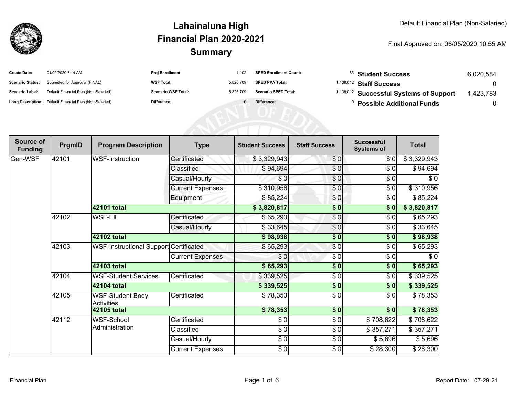

| <b>Create Date:</b>     | 01/02/2020 8:14 AM                                      | <b>Proj Enrollment:</b>    | 1.102     | <b>SPED Enrollment Count:</b> | <sup>83</sup> Student Success                      | 6.020.584 |
|-------------------------|---------------------------------------------------------|----------------------------|-----------|-------------------------------|----------------------------------------------------|-----------|
| <b>Scenario Status:</b> | Submitted for Approval (FINAL)                          | <b>WSF Total:</b>          | 5.826.709 | <b>SPED PPA Total:</b>        | <sup>1,138,012</sup> Staff Success                 |           |
| <b>Scenario Label:</b>  | Default Financial Plan (Non-Salaried)                   | <b>Scenario WSF Total:</b> | 5.826.709 | <b>Scenario SPED Total:</b>   | <sup>1,138,012</sup> Successful Systems of Support | ,423,783  |
|                         | Long Description: Default Financial Plan (Non-Salaried) | <b>Difference:</b>         |           | Difference:                   | <b>Possible Additional Funds</b>                   |           |

| Source of<br><b>Funding</b> | PrgmID | <b>Program Description</b>                    | <b>Type</b>             | <b>Student Success</b> | <b>Staff Success</b> | <b>Successful</b><br><b>Systems of</b> | <b>Total</b> |
|-----------------------------|--------|-----------------------------------------------|-------------------------|------------------------|----------------------|----------------------------------------|--------------|
| Gen-WSF                     | 42101  | <b>WSF-Instruction</b>                        | Certificated            | \$3,329,943            | \$0                  | \$0                                    | \$3,329,943  |
|                             |        |                                               | Classified              | \$94,694               | \$0                  | \$0                                    | \$94,694     |
|                             |        |                                               | Casual/Hourly           | \$0                    | \$0                  | \$0                                    | \$0          |
|                             |        |                                               | <b>Current Expenses</b> | \$310,956              | \$0                  | \$0                                    | \$310,956    |
|                             |        |                                               | Equipment               | \$85,224               | \$0                  | \$0                                    | \$85,224     |
|                             |        | 42101 total                                   |                         | \$3,820,817            | \$0                  | \$0                                    | \$3,820,817  |
|                             | 42102  | <b>WSF-Ell</b>                                | Certificated            | \$65,293               | \$0                  | \$0                                    | \$65,293     |
|                             |        |                                               | Casual/Hourly           | \$33,645               | \$0                  | \$0                                    | \$33,645     |
|                             |        | 42102 total                                   |                         | \$98,938               | \$0                  | \$0                                    | \$98,938     |
|                             | 42103  | <b>WSF-Instructional Support Certificated</b> |                         | \$65,293               | $\overline{\$0}$     | \$0                                    | \$65,293     |
|                             |        |                                               | <b>Current Expenses</b> | \$0                    | \$0                  | \$0                                    | \$0          |
|                             |        | 42103 total                                   |                         | \$65,293               | \$0                  | \$0                                    | \$65,293     |
|                             | 42104  | <b>WSF-Student Services</b>                   | Certificated            | \$339,525              | \$0                  | \$0                                    | \$339,525    |
|                             |        | 42104 total                                   |                         | \$339,525              | \$0                  | \$0                                    | \$339,525    |
|                             | 42105  | <b>WSF-Student Body</b><br><b>Activities</b>  | Certificated            | \$78,353               | \$0                  | \$0                                    | \$78,353     |
|                             |        | 42105 total                                   |                         | \$78,353               | \$0                  | \$0                                    | \$78,353     |
|                             | 42112  | <b>WSF-School</b><br>Administration           | Certificated            | \$0                    | $\frac{1}{\sqrt{2}}$ | \$708,622                              | \$708,622    |
|                             |        |                                               | Classified              | $\sqrt{6}$             | \$0                  | \$357,271                              | \$357,271    |
|                             |        |                                               | Casual/Hourly           | \$0                    | \$0                  | \$5,696                                | \$5,696      |
|                             |        |                                               | <b>Current Expenses</b> | \$0                    | \$0                  | \$28,300                               | \$28,300     |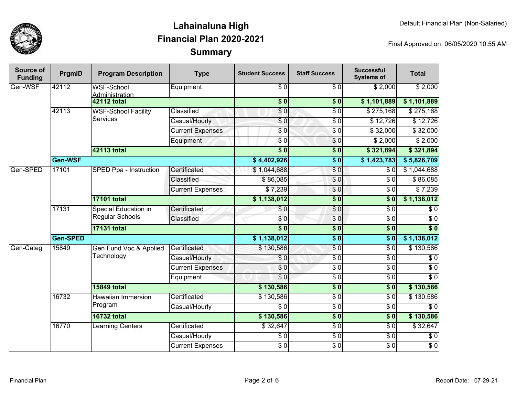

| Source of<br><b>Funding</b> | PrgmID   | <b>Program Description</b>                     | <b>Type</b>             | <b>Student Success</b>   | <b>Staff Success</b> | <b>Successful</b><br><b>Systems of</b> | <b>Total</b>     |                  |
|-----------------------------|----------|------------------------------------------------|-------------------------|--------------------------|----------------------|----------------------------------------|------------------|------------------|
| Gen-WSF                     | 42112    | <b>WSF-School</b><br>Administration            | Equipment               | $\overline{30}$          | $\overline{\$0}$     | \$2,000                                | \$2,000          |                  |
|                             |          | <b>42112 total</b>                             |                         | $\overline{\textbf{50}}$ | $\overline{\$}0$     | \$1,101,889                            | \$1,101,889      |                  |
|                             | 42113    | <b>WSF-School Facility</b><br><b>Services</b>  | Classified              | $\overline{\$}0$         | $\overline{\$0}$     | \$275,168                              | \$275,168        |                  |
|                             |          |                                                | Casual/Hourly           | \$0                      | $\overline{\$0}$     | \$12,726                               | \$12,726         |                  |
|                             |          |                                                | <b>Current Expenses</b> | $\overline{S}0$          | $\overline{\$0}$     | \$32,000                               | \$32,000         |                  |
|                             |          |                                                | Equipment               | \$0                      | \$0                  | \$2,000                                | \$2,000          |                  |
|                             |          | 42113 total                                    |                         | $\overline{\$0}$         | $\sqrt{6}$           | \$321,894                              | \$321,894        |                  |
|                             | Gen-WSF  |                                                |                         | \$4,402,926              | $\overline{\$0}$     | \$1,423,783                            | \$5,826,709      |                  |
| Gen-SPED                    | 17101    | SPED Ppa - Instruction                         | Certificated            | \$1,044,688              | $\sqrt{0}$           | \$0                                    | \$1,044,688      |                  |
|                             |          |                                                | Classified              | \$86,085                 | $\overline{\$0}$     | $\overline{\$0}$                       | \$86,085         |                  |
|                             |          |                                                | <b>Current Expenses</b> | \$7,239                  | \$0                  | \$0                                    | \$7,239          |                  |
|                             |          | <b>17101 total</b>                             |                         | \$1,138,012              | $\overline{\$0}$     | s <sub>0</sub>                         | \$1,138,012      |                  |
|                             | 17131    | <b>Special Education in</b><br>Regular Schools | Certificated            | \$0                      | $\overline{\$0}$     | $\overline{\$0}$                       | $\overline{\$0}$ |                  |
|                             |          |                                                | Classified              | \$0                      | $\sqrt{6}$           | $\overline{30}$                        | $\overline{\$0}$ |                  |
|                             |          | <b>17131 total</b>                             |                         | $\overline{\$0}$         | $\overline{\$0}$     | s <sub>0</sub>                         | $\overline{\$0}$ |                  |
|                             | Gen-SPED |                                                |                         | \$1,138,012              | $\sqrt{6}$           | $\overline{\$0}$                       | \$1,138,012      |                  |
| Gen-Categ                   | 15849    | Gen Fund Voc & Applied                         | Certificated            | \$130,586                | $\overline{\$0}$     | $\overline{\$0}$                       | \$130,586        |                  |
|                             |          | Technology                                     |                         | Casual/Hourly            | \$0                  | $\overline{\$0}$                       | $\overline{\$0}$ | $\overline{\$0}$ |
|                             |          |                                                | <b>Current Expenses</b> | \$0                      | $\overline{\$0}$     | $\overline{\$0}$                       | $\overline{\$0}$ |                  |
|                             |          |                                                | Equipment               | \$0                      | $\overline{\$0}$     | $\overline{\$0}$                       | $\overline{\$0}$ |                  |
|                             |          | <b>15849 total</b>                             |                         | \$130,586                | $\overline{\$0}$     | s <sub>0</sub>                         | \$130,586        |                  |
|                             | 16732    | Hawaiian Immersion                             | Certificated            | \$130,586                | $\overline{\$0}$     | $\overline{\$0}$                       | \$130,586        |                  |
|                             |          | Program                                        | Casual/Hourly           | $\overline{\$0}$         | $\overline{\$0}$     | $\overline{\$0}$                       | $\overline{\$0}$ |                  |
|                             |          | <b>16732 total</b>                             |                         | \$130,586                | $\overline{\$0}$     | $\overline{\$0}$                       | \$130,586        |                  |
|                             | 16770    | Learning Centers                               | Certificated            | \$32,647                 | $\overline{\$0}$     | $\overline{\$0}$                       | \$32,647         |                  |
|                             |          |                                                | Casual/Hourly           | $\overline{\$0}$         | $\overline{\$0}$     | $\overline{\$0}$                       | $\overline{\$0}$ |                  |
|                             |          |                                                | <b>Current Expenses</b> | $\frac{1}{6}$            | $\overline{\$0}$     | $\overline{\$0}$                       | $\overline{60}$  |                  |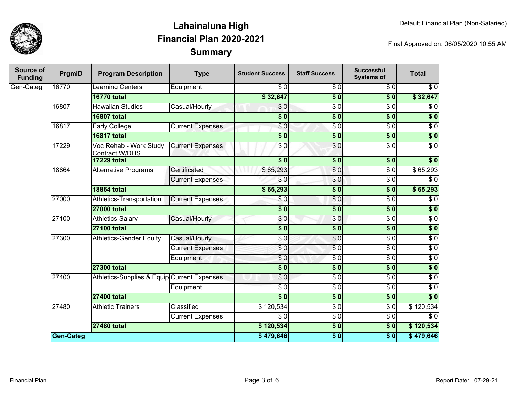

| <b>Source of</b><br><b>Funding</b> | PrgmID           | <b>Program Description</b>                      | <b>Type</b>             | <b>Student Success</b>    | <b>Staff Success</b>        | <b>Successful</b><br><b>Systems of</b> | <b>Total</b>     |
|------------------------------------|------------------|-------------------------------------------------|-------------------------|---------------------------|-----------------------------|----------------------------------------|------------------|
| Gen-Categ                          | 16770            | <b>Learning Centers</b>                         | Equipment               | $\overline{\$0}$          | $\overline{\$0}$            | \$0                                    | $\overline{60}$  |
|                                    |                  | <b>16770 total</b>                              |                         | \$32,647                  | $\overline{\$0}$            | $\overline{\$0}$                       | \$32,647         |
|                                    | 16807            | <b>Hawaiian Studies</b>                         | Casual/Hourly           | \$0                       | $\overline{50}$             | $\overline{\$0}$                       | $\sqrt{6}$       |
|                                    |                  | <b>16807 total</b>                              |                         | $\overline{\$0}$          | $\overline{\$0}$            | $\overline{\$0}$                       | $\overline{\$0}$ |
|                                    | 16817            | Early College                                   | <b>Current Expenses</b> | $\overline{\$0}$          | $\overline{S}$ <sub>0</sub> | $\overline{\$0}$                       | $\overline{60}$  |
|                                    |                  | <b>16817 total</b>                              |                         | $\overline{\textbf{S}^0}$ | $\overline{\$0}$            | $\overline{\$0}$                       | $\sqrt{50}$      |
|                                    | 17229            | Voc Rehab - Work Study<br><b>Contract W/DHS</b> | <b>Current Expenses</b> | $\sqrt{6}$                | $\overline{S}0$             | $\overline{\$0}$                       | $\overline{\$0}$ |
|                                    |                  | <b>17229 total</b>                              |                         | s <sub>0</sub>            | $\overline{\textbf{S}^0}$   | $\overline{\$0}$                       | $\overline{\$0}$ |
|                                    | 18864            | <b>Alternative Programs</b>                     | Certificated            | \$65,293                  | $\overline{\$0}$            | $\overline{\$0}$                       | \$65,293         |
|                                    |                  |                                                 | <b>Current Expenses</b> | \$0                       | \$0                         | $\overline{\$0}$                       | $\overline{\$0}$ |
|                                    |                  | <b>18864 total</b>                              |                         | \$65,293                  | $\overline{\textbf{S}^0}$   | $\overline{\textbf{S}^0}$              | \$65,293         |
|                                    | 27000            | Athletics-Transportation                        | <b>Current Expenses</b> | \$0                       | $\overline{\$0}$            | $\overline{\$0}$                       | $\overline{\$0}$ |
|                                    |                  | <b>27000 total</b>                              |                         | $\frac{1}{6}$             | $\overline{\$0}$            | $\sqrt{6}$                             | $\overline{\$0}$ |
|                                    | 27100            | Athletics-Salary                                | Casual/Hourly           | \$0                       | \$0                         | $\overline{\$0}$                       | $\overline{\$0}$ |
|                                    |                  | <b>27100 total</b>                              |                         | $\frac{1}{6}$             | $\overline{\$0}$            | $\overline{\$0}$                       | $\sqrt{6}$       |
|                                    | 27300            | <b>Athletics-Gender Equity</b>                  | Casual/Hourly           | $\sqrt{6}$                | $\sqrt{6}$                  | $\overline{$}0$                        | $\overline{\$0}$ |
|                                    |                  |                                                 | <b>Current Expenses</b> | \$0                       | $\overline{\$0}$            | $\overline{\$0}$                       | $\overline{\$0}$ |
|                                    |                  |                                                 | Equipment               | $\overline{\$0}$          | $\overline{\$0}$            | $\overline{\$0}$                       | $\overline{\$0}$ |
|                                    |                  | <b>27300 total</b>                              |                         | $\overline{\$0}$          | \$0                         | $\sqrt{6}$                             | $\sqrt{6}$       |
|                                    | 27400            | Athletics-Supplies & Equip Current Expenses     |                         | \$0                       | \$0                         | $\overline{\$0}$                       | $\overline{\$0}$ |
|                                    |                  |                                                 | Equipment               | $\overline{\$0}$          | $\overline{\$0}$            | $\overline{\$0}$                       | $\overline{\$0}$ |
|                                    |                  | <b>27400 total</b>                              |                         | $\frac{1}{6}$             | $\overline{\$0}$            | $\sqrt{6}$                             | $\overline{\$0}$ |
|                                    | 27480            | <b>Athletic Trainers</b>                        | Classified              | \$120,534                 | $\overline{\$0}$            | $\overline{\$0}$                       | \$120,534        |
|                                    |                  |                                                 | <b>Current Expenses</b> | $\overline{\$0}$          | $\overline{\$0}$            | $\overline{\$0}$                       | $\overline{\$0}$ |
|                                    |                  | <b>27480 total</b>                              |                         | \$120,534                 | $\overline{\$0}$            | $\overline{\$0}$                       | \$120,534        |
|                                    | <b>Gen-Categ</b> |                                                 |                         | \$479,646                 | $\overline{\$0}$            | $\overline{\textbf{50}}$               | \$479,646        |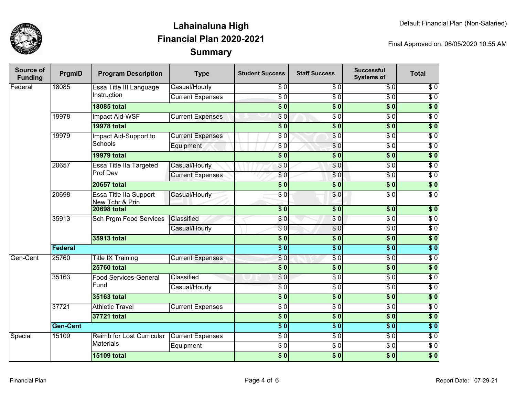

| Source of<br><b>Funding</b> | PrgmID           | <b>Program Description</b>                       | <b>Type</b>                  | <b>Student Success</b>   | <b>Staff Success</b>     | <b>Successful</b><br><b>Systems of</b> | <b>Total</b>     |                  |
|-----------------------------|------------------|--------------------------------------------------|------------------------------|--------------------------|--------------------------|----------------------------------------|------------------|------------------|
| Federal                     | 18085            | Essa Title III Language                          | Casual/Hourly                | \$0                      | \$0                      | \$0                                    | \$0              |                  |
|                             |                  | Instruction                                      | <b>Current Expenses</b>      | $\overline{S}0$          | $\overline{\$0}$         | $\overline{\$0}$                       | $\overline{\$0}$ |                  |
|                             |                  | <b>18085 total</b>                               |                              | $\overline{\$0}$         | $\overline{\$0}$         | $\overline{\$0}$                       | $\overline{\$0}$ |                  |
|                             | 19978            | <b>Impact Aid-WSF</b>                            | <b>Current Expenses</b>      | \$0                      | $\overline{50}$          | $\overline{\$0}$                       | $\overline{\$0}$ |                  |
|                             |                  | <b>19978 total</b>                               |                              | $\overline{\$0}$         | $\overline{\$0}$         | $\overline{\$0}$                       | $\overline{\$0}$ |                  |
|                             | 19979            | Impact Aid-Support to                            | <b>Current Expenses</b>      | \$0                      | $\overline{50}$          | $\overline{\$0}$                       | $\overline{\$0}$ |                  |
|                             |                  | <b>Schools</b>                                   | Equipment                    | $\overline{S}0$          | $\sqrt{0}$               | $\overline{\$0}$                       | $\overline{60}$  |                  |
|                             |                  | <b>19979 total</b>                               |                              | $\overline{\$0}$         | $\overline{\$0}$         | $\overline{\$0}$                       | $\overline{\$0}$ |                  |
|                             | 20657            | <b>Essa Title IIa Targeted</b>                   | Casual/Hourly                | \$0                      | \$0                      | $\overline{\$0}$                       | $\overline{50}$  |                  |
|                             |                  | Prof Dev                                         | <b>Current Expenses</b>      | \$0                      | $\sqrt{0}$               | $\overline{50}$                        | $\overline{30}$  |                  |
|                             |                  | <b>20657 total</b>                               |                              | $\overline{\$0}$         | $\overline{\$0}$         | $\overline{\$0}$                       | $\overline{\$0}$ |                  |
|                             | 20698            | <b>Essa Title Ila Support</b><br>New Tchr & Prin | Casual/Hourly                | \$0                      | $\overline{\$0}$         | $\overline{\$0}$                       | $\overline{S}0$  |                  |
|                             |                  | <b>20698 total</b>                               |                              | $\overline{\textbf{50}}$ | $\sqrt{6}$               | $\overline{\$0}$                       | \$0              |                  |
|                             | 35913            | Sch Prgm Food Services                           | Classified                   | \$0                      | $\overline{\$0}$         | $\overline{\$0}$                       | $\overline{\$0}$ |                  |
|                             |                  |                                                  | Casual/Hourly                | $\sqrt{6}$               | $\overline{\$0}$         | $\overline{\$0}$                       | $\overline{30}$  |                  |
|                             |                  | 35913 total                                      | $\overline{\$0}$             | $\overline{\$0}$         | $\overline{\$}0$         | $\overline{\$0}$                       |                  |                  |
|                             | Federal          |                                                  |                              | s <sub>0</sub>           | $\overline{\bullet}$ 0   | $\overline{\$0}$                       | $\overline{\$0}$ |                  |
| Gen-Cent                    | 25760            | <b>Title IX Training</b>                         | <b>Current Expenses</b>      | $\overline{\$0}$         | $\overline{\$0}$         | $\overline{\$0}$                       | $\overline{\$0}$ |                  |
|                             |                  | <b>25760 total</b>                               |                              | $\overline{\$0}$         | $\overline{\$0}$         | $\overline{\$0}$                       | $\overline{\$0}$ |                  |
|                             | 35163            |                                                  | <b>Food Services-General</b> | Classified               | \$0                      | $\overline{\$0}$                       | $\overline{\$0}$ | $\overline{\$0}$ |
|                             |                  | Fund                                             | Casual/Hourly                | $\overline{\$0}$         | $\overline{\$0}$         | $\overline{\$0}$                       | $\overline{\$0}$ |                  |
|                             |                  | 35163 total                                      |                              | $\overline{\textbf{50}}$ | $\overline{\$0}$         | $\overline{\$0}$                       | $\overline{\$0}$ |                  |
|                             | 37721            | <b>Athletic Travel</b>                           | <b>Current Expenses</b>      | $\overline{\$0}$         | $\overline{\$0}$         | $\overline{\$0}$                       | $\overline{\$0}$ |                  |
|                             |                  | 37721 total                                      |                              | \$0                      | $\overline{\textbf{50}}$ | $\overline{\$}0$                       | $\overline{\$0}$ |                  |
|                             | <b>Gen-Cent</b>  |                                                  |                              | $\overline{\bullet}$     | $\overline{\bullet}$ 0   | $\overline{\$0}$                       | $\overline{\$0}$ |                  |
| Special                     | 15109            | Reimb for Lost Curricular                        | <b>Current Expenses</b>      | $\overline{\$0}$         | $\overline{\$0}$         | $\overline{\$0}$                       | $\overline{\$0}$ |                  |
|                             | <b>Materials</b> |                                                  | Equipment                    | $\overline{\$0}$         | $\overline{\$0}$         | $\overline{\$0}$                       | $\overline{\$0}$ |                  |
|                             |                  | <b>15109 total</b>                               |                              | $\overline{\$0}$         | $\overline{\$0}$         | $\overline{\$0}$                       | $\overline{\$0}$ |                  |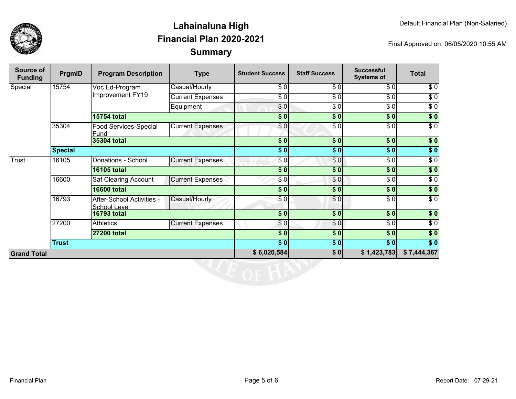

| Source of<br><b>Funding</b> | PrgmID         | <b>Program Description</b>                       | <b>Type</b>             | <b>Student Success</b> | <b>Staff Success</b>   | <b>Successful</b><br><b>Systems of</b> | <b>Total</b>     |
|-----------------------------|----------------|--------------------------------------------------|-------------------------|------------------------|------------------------|----------------------------------------|------------------|
| Special                     | 15754          | Voc Ed-Program<br>Improvement FY19               | Casual/Hourly           | \$0                    | \$0                    | \$0                                    | \$0              |
|                             |                |                                                  | <b>Current Expenses</b> | \$0                    | \$0                    | \$0                                    | $\sqrt{6}$       |
|                             |                |                                                  | Equipment               | \$0                    | \$0                    | $\overline{\$0}$                       | $\overline{30}$  |
|                             |                | <b>15754 total</b>                               |                         | \$0                    | \$0                    | \$0                                    | $\overline{\$0}$ |
|                             | 35304          | <b>Food Services-Special</b><br>Fund             | <b>Current Expenses</b> | \$0                    | \$0                    | \$0                                    | $\sqrt{6}$       |
|                             |                | 35304 total                                      |                         | \$0                    | \$0                    | s <sub>0</sub>                         | \$0              |
|                             | <b>Special</b> |                                                  |                         | \$0                    | \$0                    | \$0                                    | $\sqrt{6}$       |
| Trust                       | 16105          | Donations - School                               | <b>Current Expenses</b> | \$0                    | \$0                    | \$0                                    | $\overline{\$0}$ |
|                             |                | <b>16105 total</b>                               |                         | $\overline{\$0}$       | \$0                    | \$0                                    | \$0              |
|                             | 16600          | Saf Clearing Account                             | <b>Current Expenses</b> | \$0                    | \$0                    | $\overline{\$0}$                       | $\overline{\$0}$ |
|                             |                | <b>16600 total</b>                               |                         | \$0                    | \$0                    | \$0                                    | $\sqrt{6}$       |
|                             | 16793          | After-School Activities -<br><b>School Level</b> | Casual/Hourly           | \$0                    | \$0                    | \$0                                    | $\overline{\$0}$ |
|                             |                | <b>16793 total</b>                               |                         | $\sqrt{6}$             | $\overline{\bullet}$ 0 | $\overline{\$0}$                       | \$0              |
|                             | 27200          | <b>Athletics</b>                                 | <b>Current Expenses</b> | \$0                    | \$0                    | $\sqrt{6}$                             | $\sqrt{6}$       |
|                             |                | <b>27200 total</b>                               |                         | $\overline{\$0}$       | $\frac{1}{2}$          | \$0                                    | $\sqrt{6}$       |
|                             | <b>Trust</b>   |                                                  |                         | $\sqrt{6}$             | $\frac{1}{2}$          | $\sqrt{6}$                             | $\sqrt{6}$       |
| <b>Grand Total</b>          |                |                                                  |                         | \$6,020,584            | \$0                    | \$1,423,783                            | \$7,444,367      |